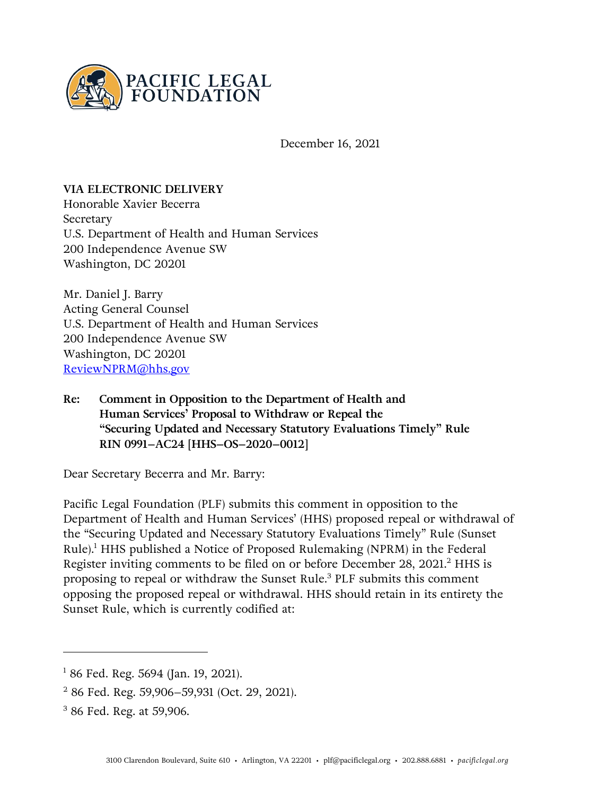

December 16, 2021

### **VIA ELECTRONIC DELIVERY**

Honorable Xavier Becerra Secretary U.S. Department of Health and Human Services 200 Independence Avenue SW Washington, DC 20201

Mr. Daniel J. Barry Acting General Counsel U.S. Department of Health and Human Services 200 Independence Avenue SW Washington, DC 20201 [ReviewNPRM@hhs.gov](mailto:ReviewNPRM@hhs.gov)

**Re: Comment in Opposition to the Department of Health and Human Services' Proposal to Withdraw or Repeal the "Securing Updated and Necessary Statutory Evaluations Timely" Rule RIN 0991–AC24 [HHS–OS–2020–0012]**

Dear Secretary Becerra and Mr. Barry:

Pacific Legal Foundation (PLF) submits this comment in opposition to the Department of Health and Human Services' (HHS) proposed repeal or withdrawal of the "Securing Updated and Necessary Statutory Evaluations Timely" Rule (Sunset  $Rule).$ <sup>1</sup> HHS published a Notice of Proposed Rulemaking (NPRM) in the Federal Register inviting comments to be filed on or before December 28, 2021.<sup>2</sup> HHS is proposing to repeal or withdraw the Sunset Rule.<sup>3</sup> PLF submits this comment opposing the proposed repeal or withdrawal. HHS should retain in its entirety the Sunset Rule, which is currently codified at:

 $1$  86 Fed. Reg. 5694 (Jan. 19, 2021).

<sup>2</sup> 86 Fed. Reg. 59,906–59,931 (Oct. 29, 2021).

<sup>3</sup> 86 Fed. Reg. at 59,906.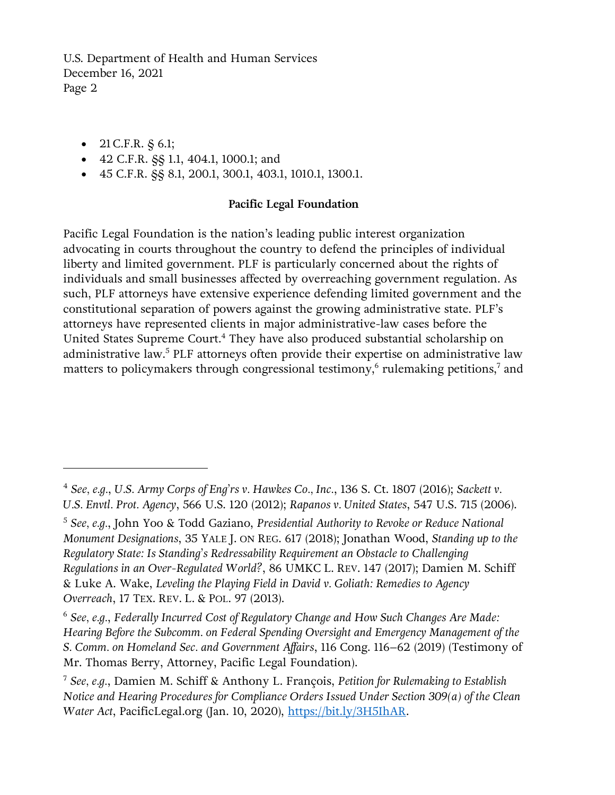- 21 C.F.R.  $$6.1;$
- 42 C.F.R. §§ 1.1, 404.1, 1000.1; and
- 45 C.F.R. §§ 8.1, 200.1, 300.1, 403.1, 1010.1, 1300.1.

## **Pacific Legal Foundation**

Pacific Legal Foundation is the nation's leading public interest organization advocating in courts throughout the country to defend the principles of individual liberty and limited government. PLF is particularly concerned about the rights of individuals and small businesses affected by overreaching government regulation. As such, PLF attorneys have extensive experience defending limited government and the constitutional separation of powers against the growing administrative state. PLF's attorneys have represented clients in major administrative-law cases before the United States Supreme Court.<sup>4</sup> They have also produced substantial scholarship on administrative law.<sup>5</sup> PLF attorneys often provide their expertise on administrative law matters to policymakers through congressional testimony,<sup>6</sup> rulemaking petitions,<sup>7</sup> and

<sup>4</sup> *See, e.g.*, *U.S. Army Corps of Eng'rs v. Hawkes Co., Inc.*, 136 S. Ct. 1807 (2016); *Sackett v. U.S. Envtl. Prot. Agency*, 566 U.S. 120 (2012); *Rapanos v. United States*, 547 U.S. 715 (2006).

<sup>5</sup> *See, e.g.*, John Yoo & Todd Gaziano, *Presidential Authority to Revoke or Reduce National Monument Designations*, 35 YALE J. ON REG. 617 (2018); Jonathan Wood, *Standing up to the Regulatory State: Is Standing's Redressability Requirement an Obstacle to Challenging Regulations in an Over-Regulated World?*, 86 UMKC L. REV. 147 (2017); Damien M. Schiff & Luke A. Wake, *Leveling the Playing Field in David v. Goliath: Remedies to Agency Overreach*, 17 TEX. REV. L. & POL. 97 (2013).

<sup>6</sup> *See, e.g.*, *Federally Incurred Cost of Regulatory Change and How Such Changes Are Made: Hearing Before the Subcomm. on Federal Spending Oversight and Emergency Management of the S. Comm. on Homeland Sec. and Government Affairs*, 116 Cong. 116–62 (2019) (Testimony of Mr. Thomas Berry, Attorney, Pacific Legal Foundation).

<sup>7</sup> *See, e.g.*, Damien M. Schiff & Anthony L. François, *Petition for Rulemaking to Establish Notice and Hearing Procedures for Compliance Orders Issued Under Section 309(a) of the Clean Water Act*, PacificLegal.org (Jan. 10, 2020), [https://bit.ly/3H5IhAR.](https://bit.ly/3H5IhAR)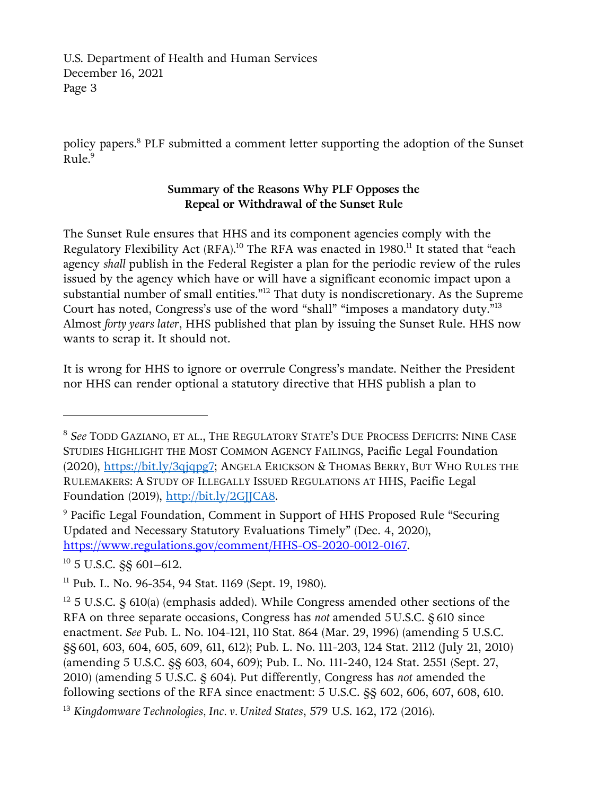policy papers.<sup>8</sup> PLF submitted a comment letter supporting the adoption of the Sunset Rule.<sup>9</sup>

## **Summary of the Reasons Why PLF Opposes the Repeal or Withdrawal of the Sunset Rule**

The Sunset Rule ensures that HHS and its component agencies comply with the Regulatory Flexibility Act (RFA).<sup>10</sup> The RFA was enacted in 1980.<sup>11</sup> It stated that "each agency *shall* publish in the Federal Register a plan for the periodic review of the rules issued by the agency which have or will have a significant economic impact upon a substantial number of small entities."<sup>12</sup> That duty is nondiscretionary. As the Supreme Court has noted, Congress's use of the word "shall" "imposes a mandatory duty."<sup>13</sup> Almost *forty years later*, HHS published that plan by issuing the Sunset Rule. HHS now wants to scrap it. It should not.

It is wrong for HHS to ignore or overrule Congress's mandate. Neither the President nor HHS can render optional a statutory directive that HHS publish a plan to

<sup>10</sup> 5 U.S.C. §§ 601–612.

<sup>8</sup> *See* TODD GAZIANO, ET AL., THE REGULATORY STATE'S DUE PROCESS DEFICITS: NINE CASE STUDIES HIGHLIGHT THE MOST COMMON AGENCY FAILINGS, Pacific Legal Foundation (2020), [https://bit.ly/3qjqpg7;](https://bit.ly/3qjqpg7) ANGELA ERICKSON & THOMAS BERRY, BUT WHO RULES THE RULEMAKERS: A STUDY OF ILLEGALLY ISSUED REGULATIONS AT HHS, Pacific Legal Foundation (2019), [http://bit.ly/2GJJCA8.](http://bit.ly/2GJJCA8)

<sup>9</sup> Pacific Legal Foundation, Comment in Support of HHS Proposed Rule "Securing Updated and Necessary Statutory Evaluations Timely" (Dec. 4, 2020), [https://www.regulations.gov/comment/HHS-OS-2020-0012-0167.](https://www.regulations.gov/comment/HHS-OS-2020-0012-0167)

<sup>&</sup>lt;sup>11</sup> Pub. L. No. 96-354, 94 Stat. 1169 (Sept. 19, 1980).

 $12$  5 U.S.C.  $\frac{12}{3}$  610(a) (emphasis added). While Congress amended other sections of the RFA on three separate occasions, Congress has *not* amended 5 U.S.C. § 610 since enactment. *See* Pub. L. No. 104-121, 110 Stat. 864 (Mar. 29, 1996) (amending 5 U.S.C. §§ 601, 603, 604, 605, 609, 611, 612); Pub. L. No. 111-203, 124 Stat. 2112 (July 21, 2010) (amending 5 U.S.C. §§ 603, 604, 609); Pub. L. No. 111-240, 124 Stat. 2551 (Sept. 27, 2010) (amending 5 U.S.C. § 604). Put differently, Congress has *not* amended the following sections of the RFA since enactment: 5 U.S.C. §§ 602, 606, 607, 608, 610.

<sup>13</sup> *Kingdomware Technologies, Inc. v. United States*, 579 U.S. 162, 172 (2016).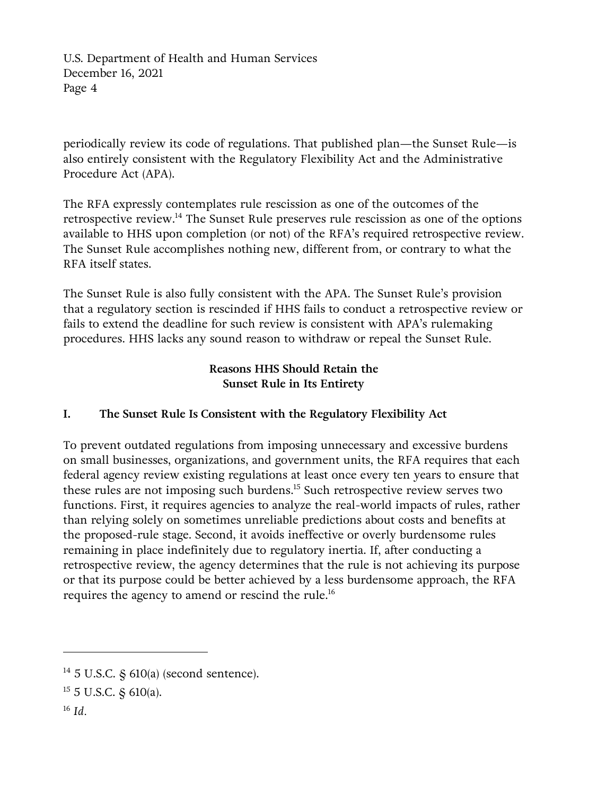periodically review its code of regulations. That published plan—the Sunset Rule—is also entirely consistent with the Regulatory Flexibility Act and the Administrative Procedure Act (APA).

The RFA expressly contemplates rule rescission as one of the outcomes of the retrospective review.<sup>14</sup> The Sunset Rule preserves rule rescission as one of the options available to HHS upon completion (or not) of the RFA's required retrospective review. The Sunset Rule accomplishes nothing new, different from, or contrary to what the RFA itself states.

The Sunset Rule is also fully consistent with the APA. The Sunset Rule's provision that a regulatory section is rescinded if HHS fails to conduct a retrospective review or fails to extend the deadline for such review is consistent with APA's rulemaking procedures. HHS lacks any sound reason to withdraw or repeal the Sunset Rule.

# **Reasons HHS Should Retain the Sunset Rule in Its Entirety**

# **I. The Sunset Rule Is Consistent with the Regulatory Flexibility Act**

To prevent outdated regulations from imposing unnecessary and excessive burdens on small businesses, organizations, and government units, the RFA requires that each federal agency review existing regulations at least once every ten years to ensure that these rules are not imposing such burdens.<sup>15</sup> Such retrospective review serves two functions. First, it requires agencies to analyze the real-world impacts of rules, rather than relying solely on sometimes unreliable predictions about costs and benefits at the proposed-rule stage. Second, it avoids ineffective or overly burdensome rules remaining in place indefinitely due to regulatory inertia. If, after conducting a retrospective review, the agency determines that the rule is not achieving its purpose or that its purpose could be better achieved by a less burdensome approach, the RFA requires the agency to amend or rescind the rule.<sup>16</sup>

 $14$  5 U.S.C. § 610(a) (second sentence).

<sup>15</sup> 5 U.S.C. § 610(a).

<sup>16</sup> *Id.*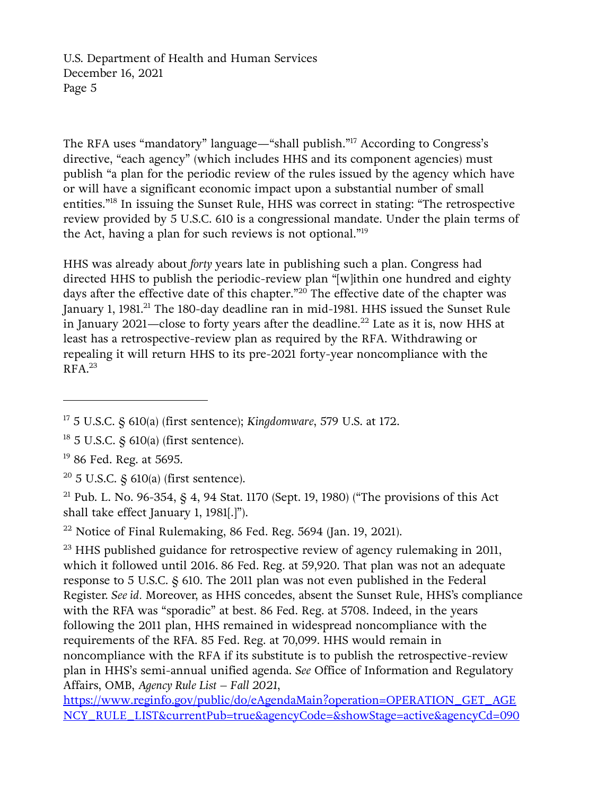The RFA uses "mandatory" language—"shall publish."<sup>17</sup> According to Congress's directive, "each agency" (which includes HHS and its component agencies) must publish "a plan for the periodic review of the rules issued by the agency which have or will have a significant economic impact upon a substantial number of small entities."<sup>18</sup> In issuing the Sunset Rule, HHS was correct in stating: "The retrospective review provided by 5 U.S.C. 610 is a congressional mandate. Under the plain terms of the Act, having a plan for such reviews is not optional."<sup>19</sup>

HHS was already about *forty* years late in publishing such a plan. Congress had directed HHS to publish the periodic-review plan "[w]ithin one hundred and eighty days after the effective date of this chapter."<sup>20</sup> The effective date of the chapter was January 1, 1981.<sup>21</sup> The 180-day deadline ran in mid-1981. HHS issued the Sunset Rule in January 2021—close to forty years after the deadline.<sup>22</sup> Late as it is, now HHS at least has a retrospective-review plan as required by the RFA. Withdrawing or repealing it will return HHS to its pre-2021 forty-year noncompliance with the  $RFA.<sup>23</sup>$ 

<sup>21</sup> Pub. L. No. 96-354,  $\frac{1}{5}$  4, 94 Stat. 1170 (Sept. 19, 1980) ("The provisions of this Act shall take effect January 1, 1981[.]").

 $22$  Notice of Final Rulemaking, 86 Fed. Reg. 5694 (Jan. 19, 2021).

 $23$  HHS published guidance for retrospective review of agency rulemaking in 2011, which it followed until 2016. 86 Fed. Reg. at 59,920. That plan was not an adequate response to 5 U.S.C. § 610. The 2011 plan was not even published in the Federal Register. *See id.* Moreover, as HHS concedes, absent the Sunset Rule, HHS's compliance with the RFA was "sporadic" at best. 86 Fed. Reg. at 5708. Indeed, in the years following the 2011 plan, HHS remained in widespread noncompliance with the requirements of the RFA. 85 Fed. Reg. at 70,099. HHS would remain in noncompliance with the RFA if its substitute is to publish the retrospective-review plan in HHS's semi-annual unified agenda. *See* Office of Information and Regulatory Affairs, OMB, *Agency Rule List – Fall 2021*,

[https://www.reginfo.gov/public/do/eAgendaMain?operation=OPERATION\\_GET\\_AGE](https://www.reginfo.gov/public/do/eAgendaMain?operation=OPERATION_GET_AGENCY_RULE_LIST¤tPub=true&agencyCode=&showStage=active&agencyCd=0900&csrf_token=5B8E0754896D00EB6E21BF6607F983D031D99D6D81B639B9CB1F2E6A834D13291F1833D7D73854F2E7A292652B78BB5F4118) [NCY\\_RULE\\_LIST&currentPub=true&agencyCode=&showStage=active&agencyCd=090](https://www.reginfo.gov/public/do/eAgendaMain?operation=OPERATION_GET_AGENCY_RULE_LIST¤tPub=true&agencyCode=&showStage=active&agencyCd=0900&csrf_token=5B8E0754896D00EB6E21BF6607F983D031D99D6D81B639B9CB1F2E6A834D13291F1833D7D73854F2E7A292652B78BB5F4118)

<sup>17</sup> 5 U.S.C. § 610(a) (first sentence); *Kingdomware*, 579 U.S. at 172.

<sup>18</sup> 5 U.S.C. § 610(a) (first sentence).

<sup>&</sup>lt;sup>19</sup> 86 Fed. Reg. at 5695.

 $20\,$  5 U.S.C. § 610(a) (first sentence).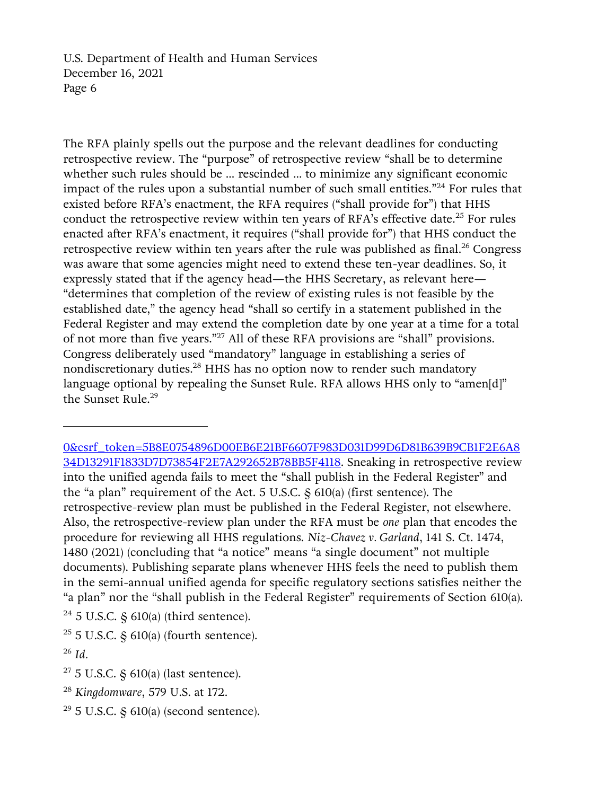The RFA plainly spells out the purpose and the relevant deadlines for conducting retrospective review. The "purpose" of retrospective review "shall be to determine whether such rules should be ... rescinded ... to minimize any significant economic impact of the rules upon a substantial number of such small entities."<sup>24</sup> For rules that existed before RFA's enactment, the RFA requires ("shall provide for") that HHS conduct the retrospective review within ten years of RFA's effective date.<sup>25</sup> For rules enacted after RFA's enactment, it requires ("shall provide for") that HHS conduct the retrospective review within ten years after the rule was published as final.<sup>26</sup> Congress was aware that some agencies might need to extend these ten-year deadlines. So, it expressly stated that if the agency head—the HHS Secretary, as relevant here— "determines that completion of the review of existing rules is not feasible by the established date," the agency head "shall so certify in a statement published in the Federal Register and may extend the completion date by one year at a time for a total of not more than five years."<sup>27</sup> All of these RFA provisions are "shall" provisions. Congress deliberately used "mandatory" language in establishing a series of nondiscretionary duties.<sup>28</sup> HHS has no option now to render such mandatory language optional by repealing the Sunset Rule. RFA allows HHS only to "amen[d]" the Sunset Rule.<sup>29</sup>

[<sup>0&</sup>amp;csrf\\_token=5B8E0754896D00EB6E21BF6607F983D031D99D6D81B639B9CB1F2E6A8](https://www.reginfo.gov/public/do/eAgendaMain?operation=OPERATION_GET_AGENCY_RULE_LIST¤tPub=true&agencyCode=&showStage=active&agencyCd=0900&csrf_token=5B8E0754896D00EB6E21BF6607F983D031D99D6D81B639B9CB1F2E6A834D13291F1833D7D73854F2E7A292652B78BB5F4118) [34D13291F1833D7D73854F2E7A292652B78BB5F4118.](https://www.reginfo.gov/public/do/eAgendaMain?operation=OPERATION_GET_AGENCY_RULE_LIST¤tPub=true&agencyCode=&showStage=active&agencyCd=0900&csrf_token=5B8E0754896D00EB6E21BF6607F983D031D99D6D81B639B9CB1F2E6A834D13291F1833D7D73854F2E7A292652B78BB5F4118) Sneaking in retrospective review into the unified agenda fails to meet the "shall publish in the Federal Register" and the "a plan" requirement of the Act. 5 U.S.C. § 610(a) (first sentence). The retrospective-review plan must be published in the Federal Register, not elsewhere. Also, the retrospective-review plan under the RFA must be *one* plan that encodes the procedure for reviewing all HHS regulations. *Niz-Chavez v. Garland*, 141 S. Ct. 1474, 1480 (2021) (concluding that "a notice" means "a single document" not multiple documents). Publishing separate plans whenever HHS feels the need to publish them in the semi-annual unified agenda for specific regulatory sections satisfies neither the "a plan" nor the "shall publish in the Federal Register" requirements of Section 610(a).  $24$  5 U.S.C.  $\frac{2}{9}$  610(a) (third sentence).

 $25$  5 U.S.C. § 610(a) (fourth sentence).

<sup>26</sup> *Id.*

 $27$  5 U.S.C. § 610(a) (last sentence).

<sup>28</sup> *Kingdomware*, 579 U.S. at 172.

 $29$  5 U.S.C. § 610(a) (second sentence).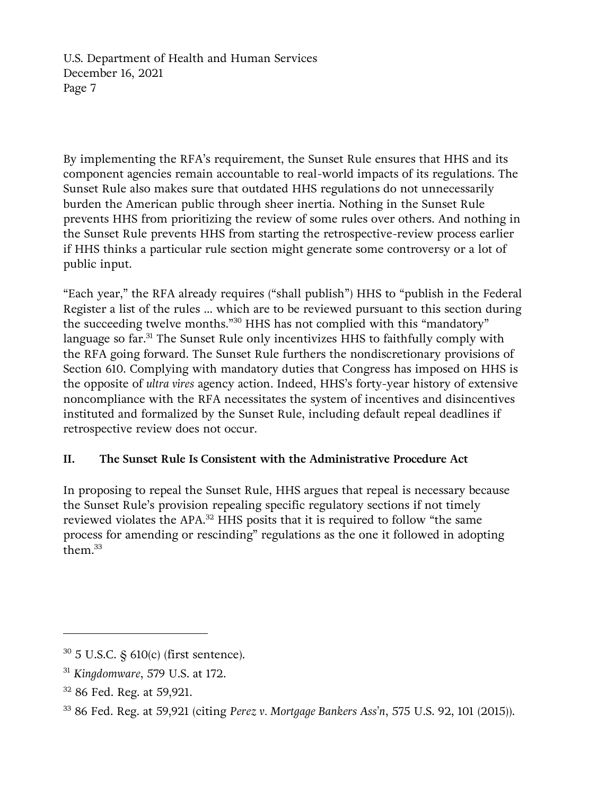By implementing the RFA's requirement, the Sunset Rule ensures that HHS and its component agencies remain accountable to real-world impacts of its regulations. The Sunset Rule also makes sure that outdated HHS regulations do not unnecessarily burden the American public through sheer inertia. Nothing in the Sunset Rule prevents HHS from prioritizing the review of some rules over others. And nothing in the Sunset Rule prevents HHS from starting the retrospective-review process earlier if HHS thinks a particular rule section might generate some controversy or a lot of public input.

"Each year," the RFA already requires ("shall publish") HHS to "publish in the Federal Register a list of the rules … which are to be reviewed pursuant to this section during the succeeding twelve months."<sup>30</sup> HHS has not complied with this "mandatory" language so far.<sup>31</sup> The Sunset Rule only incentivizes HHS to faithfully comply with the RFA going forward. The Sunset Rule furthers the nondiscretionary provisions of Section 610. Complying with mandatory duties that Congress has imposed on HHS is the opposite of *ultra vires* agency action. Indeed, HHS's forty-year history of extensive noncompliance with the RFA necessitates the system of incentives and disincentives instituted and formalized by the Sunset Rule, including default repeal deadlines if retrospective review does not occur.

# **II. The Sunset Rule Is Consistent with the Administrative Procedure Act**

In proposing to repeal the Sunset Rule, HHS argues that repeal is necessary because the Sunset Rule's provision repealing specific regulatory sections if not timely reviewed violates the APA.<sup>32</sup> HHS posits that it is required to follow "the same process for amending or rescinding" regulations as the one it followed in adopting them.<sup>33</sup>

<sup>30</sup> 5 U.S.C. § 610(c) (first sentence).

<sup>31</sup> *Kingdomware*, 579 U.S. at 172.

<sup>32</sup> 86 Fed. Reg. at 59,921.

<sup>33</sup> 86 Fed. Reg. at 59,921 (citing *Perez v. Mortgage Bankers Ass'n*, 575 U.S. 92, 101 (2015)).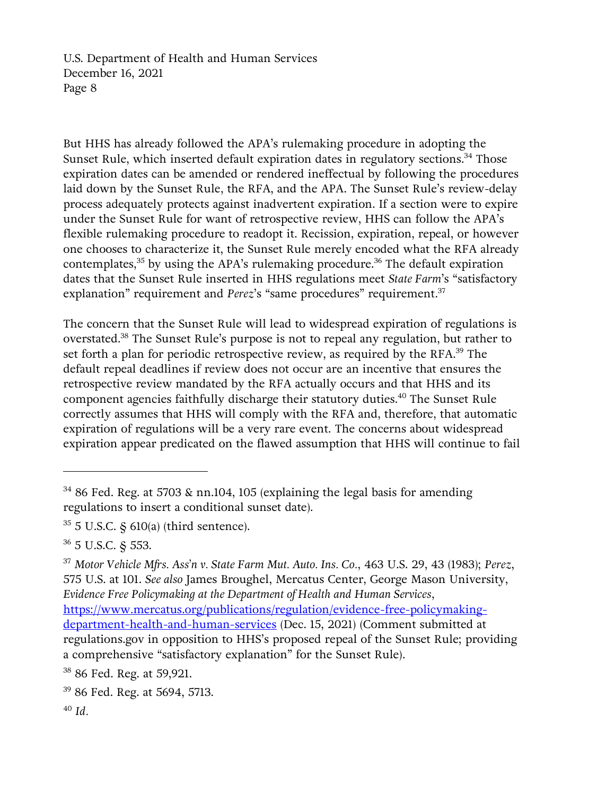But HHS has already followed the APA's rulemaking procedure in adopting the Sunset Rule, which inserted default expiration dates in regulatory sections.<sup>34</sup> Those expiration dates can be amended or rendered ineffectual by following the procedures laid down by the Sunset Rule, the RFA, and the APA. The Sunset Rule's review-delay process adequately protects against inadvertent expiration. If a section were to expire under the Sunset Rule for want of retrospective review, HHS can follow the APA's flexible rulemaking procedure to readopt it. Recission, expiration, repeal, or however one chooses to characterize it, the Sunset Rule merely encoded what the RFA already contemplates,<sup>35</sup> by using the APA's rulemaking procedure.<sup>36</sup> The default expiration dates that the Sunset Rule inserted in HHS regulations meet *State Farm*'s "satisfactory explanation" requirement and *Perez*'s "same procedures" requirement.<sup>37</sup>

The concern that the Sunset Rule will lead to widespread expiration of regulations is overstated.<sup>38</sup> The Sunset Rule's purpose is not to repeal any regulation, but rather to set forth a plan for periodic retrospective review, as required by the RFA.<sup>39</sup> The default repeal deadlines if review does not occur are an incentive that ensures the retrospective review mandated by the RFA actually occurs and that HHS and its component agencies faithfully discharge their statutory duties. <sup>40</sup> The Sunset Rule correctly assumes that HHS will comply with the RFA and, therefore, that automatic expiration of regulations will be a very rare event. The concerns about widespread expiration appear predicated on the flawed assumption that HHS will continue to fail

<sup>38</sup> 86 Fed. Reg. at 59,921.

<sup>&</sup>lt;sup>34</sup> 86 Fed. Reg. at 5703 & nn.104, 105 (explaining the legal basis for amending regulations to insert a conditional sunset date).

 $35$  5 U.S.C.  $\frac{2}{3}$  610(a) (third sentence).

<sup>36</sup> 5 U.S.C. § 553.

<sup>37</sup> *Motor Vehicle Mfrs. Ass'n v. State Farm Mut. Auto. Ins. Co.*, 463 U.S. 29, 43 (1983); *Perez*, 575 U.S. at 101. *See also* James Broughel, Mercatus Center, George Mason University, *Evidence Free Policymaking at the Department of Health and Human Services*, [https://www.mercatus.org/publications/regulation/evidence-free-policymaking-](https://www.mercatus.org/publications/regulation/evidence-free-policymaking-department-health-and-human-services)

[department-health-and-human-services](https://www.mercatus.org/publications/regulation/evidence-free-policymaking-department-health-and-human-services) (Dec. 15, 2021) (Comment submitted at regulations.gov in opposition to HHS's proposed repeal of the Sunset Rule; providing a comprehensive "satisfactory explanation" for the Sunset Rule).

<sup>39</sup> 86 Fed. Reg. at 5694, 5713.

<sup>40</sup> *Id.*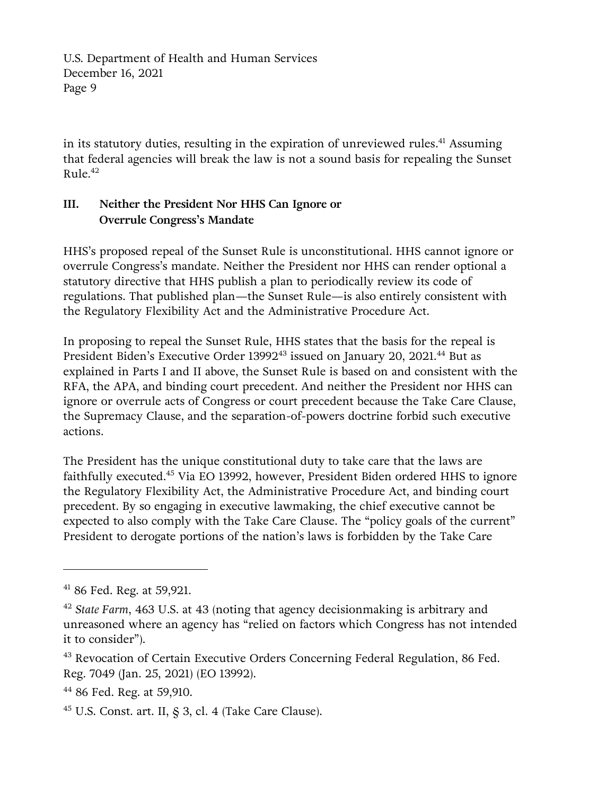in its statutory duties, resulting in the expiration of unreviewed rules. <sup>41</sup> Assuming that federal agencies will break the law is not a sound basis for repealing the Sunset Rule. 42

# **III. Neither the President Nor HHS Can Ignore or Overrule Congress's Mandate**

HHS's proposed repeal of the Sunset Rule is unconstitutional. HHS cannot ignore or overrule Congress's mandate. Neither the President nor HHS can render optional a statutory directive that HHS publish a plan to periodically review its code of regulations. That published plan—the Sunset Rule—is also entirely consistent with the Regulatory Flexibility Act and the Administrative Procedure Act.

In proposing to repeal the Sunset Rule, HHS states that the basis for the repeal is President Biden's Executive Order 13992<sup>43</sup> issued on January 20, 2021.<sup>44</sup> But as explained in Parts I and II above, the Sunset Rule is based on and consistent with the RFA, the APA, and binding court precedent. And neither the President nor HHS can ignore or overrule acts of Congress or court precedent because the Take Care Clause, the Supremacy Clause, and the separation-of-powers doctrine forbid such executive actions.

The President has the unique constitutional duty to take care that the laws are faithfully executed.<sup>45</sup> Via EO 13992, however, President Biden ordered HHS to ignore the Regulatory Flexibility Act, the Administrative Procedure Act, and binding court precedent. By so engaging in executive lawmaking, the chief executive cannot be expected to also comply with the Take Care Clause. The "policy goals of the current" President to derogate portions of the nation's laws is forbidden by the Take Care

 $45$  U.S. Const. art. II,  $\frac{5}{9}$  3, cl. 4 (Take Care Clause).

<sup>41</sup> 86 Fed. Reg. at 59,921.

<sup>42</sup> *State Farm*, 463 U.S. at 43 (noting that agency decisionmaking is arbitrary and unreasoned where an agency has "relied on factors which Congress has not intended it to consider").

<sup>&</sup>lt;sup>43</sup> Revocation of Certain Executive Orders Concerning Federal Regulation, 86 Fed. Reg. 7049 (Jan. 25, 2021) (EO 13992).

<sup>44</sup> 86 Fed. Reg. at 59,910.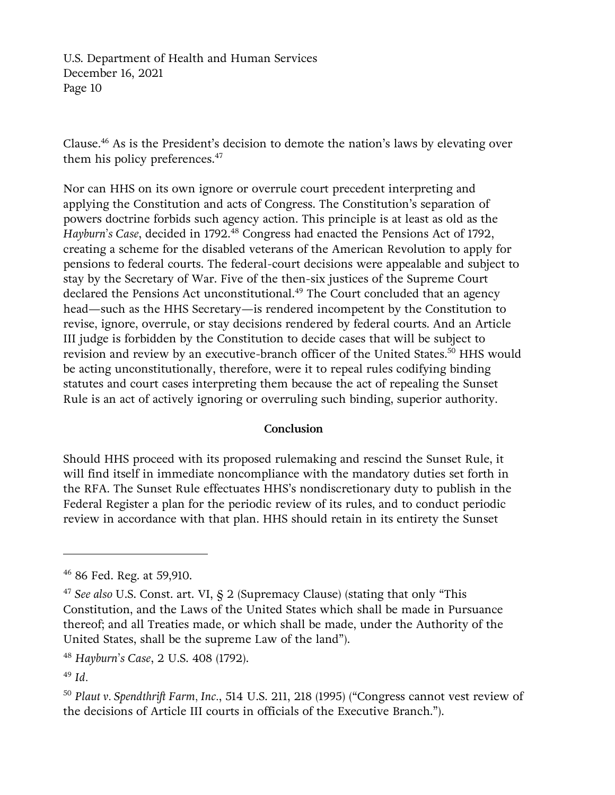Clause.<sup>46</sup> As is the President's decision to demote the nation's laws by elevating over them his policy preferences.<sup>47</sup>

Nor can HHS on its own ignore or overrule court precedent interpreting and applying the Constitution and acts of Congress. The Constitution's separation of powers doctrine forbids such agency action. This principle is at least as old as the *Hayburn's Case*, decided in 1792.<sup>48</sup> Congress had enacted the Pensions Act of 1792, creating a scheme for the disabled veterans of the American Revolution to apply for pensions to federal courts. The federal-court decisions were appealable and subject to stay by the Secretary of War. Five of the then-six justices of the Supreme Court declared the Pensions Act unconstitutional.<sup>49</sup> The Court concluded that an agency head—such as the HHS Secretary—is rendered incompetent by the Constitution to revise, ignore, overrule, or stay decisions rendered by federal courts. And an Article III judge is forbidden by the Constitution to decide cases that will be subject to revision and review by an executive-branch officer of the United States.<sup>50</sup> HHS would be acting unconstitutionally, therefore, were it to repeal rules codifying binding statutes and court cases interpreting them because the act of repealing the Sunset Rule is an act of actively ignoring or overruling such binding, superior authority.

#### **Conclusion**

Should HHS proceed with its proposed rulemaking and rescind the Sunset Rule, it will find itself in immediate noncompliance with the mandatory duties set forth in the RFA. The Sunset Rule effectuates HHS's nondiscretionary duty to publish in the Federal Register a plan for the periodic review of its rules, and to conduct periodic review in accordance with that plan. HHS should retain in its entirety the Sunset

<sup>46</sup> 86 Fed. Reg. at 59,910.

<sup>47</sup> *See also* U.S. Const. art. VI, § 2 (Supremacy Clause) (stating that only "This Constitution, and the Laws of the United States which shall be made in Pursuance thereof; and all Treaties made, or which shall be made, under the Authority of the United States, shall be the supreme Law of the land").

<sup>48</sup> *Hayburn's Case*, 2 U.S. 408 (1792).

<sup>49</sup> *Id.*

<sup>50</sup> *Plaut v. Spendthrift Farm, Inc.*, 514 U.S. 211, 218 (1995) ("Congress cannot vest review of the decisions of Article III courts in officials of the Executive Branch.").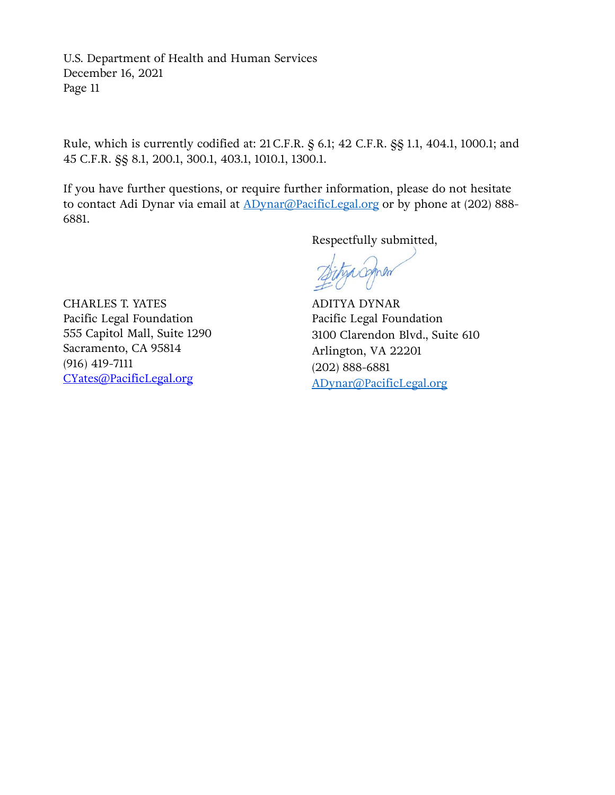Rule, which is currently codified at: 21 C.F.R. § 6.1; 42 C.F.R. §§ 1.1, 404.1, 1000.1; and 45 C.F.R. §§ 8.1, 200.1, 300.1, 403.1, 1010.1, 1300.1.

If you have further questions, or require further information, please do not hesitate to contact Adi Dynar via email at **ADynar@PacificLegal.org** or by phone at (202) 888-6881.

Respectfully submitted,

yacomon

CHARLES T. YATES Pacific Legal Foundation 555 Capitol Mall, Suite 1290 Sacramento, CA 95814 (916) 419-7111 [CYates@PacificLegal.org](mailto:CYates@PacificLegal.org)

ADITYA DYNAR Pacific Legal Foundation 3100 Clarendon Blvd., Suite 610 Arlington, VA 22201 (202) 888-6881 [ADynar@PacificLegal.org](mailto:ADynar@PacificLegal.org)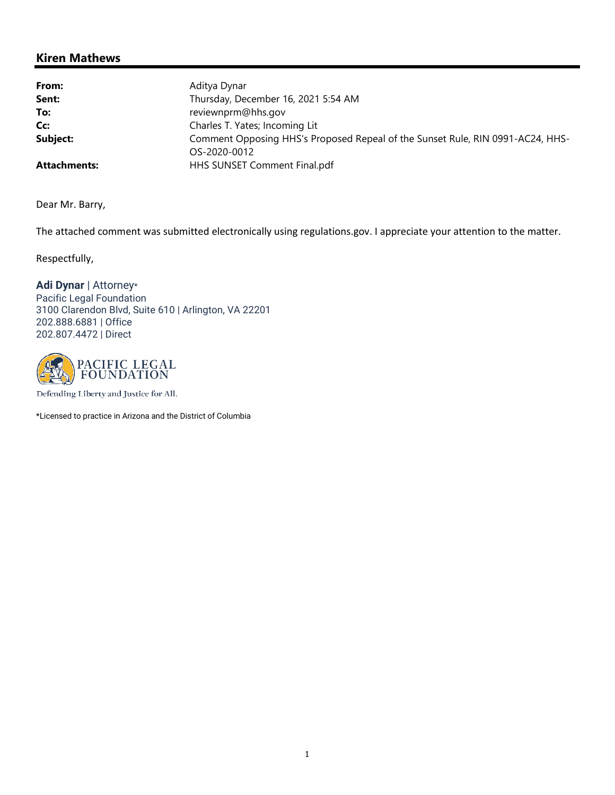## Kiren Mathews

| From:               | Aditya Dynar                                                                                   |
|---------------------|------------------------------------------------------------------------------------------------|
| Sent:               | Thursday, December 16, 2021 5:54 AM                                                            |
| To:                 | reviewnprm@hhs.gov                                                                             |
| Cc:                 | Charles T. Yates; Incoming Lit                                                                 |
| Subject:            | Comment Opposing HHS's Proposed Repeal of the Sunset Rule, RIN 0991-AC24, HHS-<br>OS-2020-0012 |
| <b>Attachments:</b> | HHS SUNSET Comment Final.pdf                                                                   |

Dear Mr. Barry,

The attached comment was submitted electronically using regulations.gov. I appreciate your attention to the matter.

Respectfully,

Adi Dynar | Attorney\* Pacific Legal Foundation 3100 Clarendon Blvd, Suite 610 | Arlington, VA 22201 202.888.6881 | Office 202.807.4472 | Direct



Defending Liberty and Justice for All.

\*Licensed to practice in Arizona and the District of Columbia